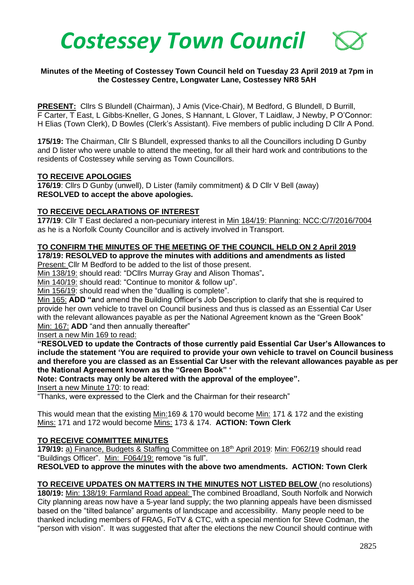

### **Minutes of the Meeting of Costessey Town Council held on Tuesday 23 April 2019 at 7pm in the Costessey Centre, Longwater Lane, Costessey NR8 5AH**

**PRESENT:** Cllrs S Blundell (Chairman), J Amis (Vice-Chair), M Bedford, G Blundell, D Burrill, F Carter, T East, L Gibbs-Kneller, G Jones, S Hannant, L Glover, T Laidlaw, J Newby, P O'Connor: H Elias (Town Clerk), D Bowles (Clerk's Assistant). Five members of public including D Cllr A Pond.

**175/19:** The Chairman, Cllr S Blundell, expressed thanks to all the Councillors including D Gunby and D lister who were unable to attend the meeting, for all their hard work and contributions to the residents of Costessey while serving as Town Councillors.

### **TO RECEIVE APOLOGIES**

**176/19**: Cllrs D Gunby (unwell), D Lister (family commitment) & D Cllr V Bell (away) **RESOLVED to accept the above apologies.** 

### **TO RECEIVE DECLARATIONS OF INTEREST**

**177/19**: Cllr T East declared a non-pecuniary interest in Min 184/19: Planning: NCC:C/7/2016/7004 as he is a Norfolk County Councillor and is actively involved in Transport.

#### **TO CONFIRM THE MINUTES OF THE MEETING OF THE COUNCIL HELD ON 2 April 2019 178/19: RESOLVED to approve the minutes with additions and amendments as listed**

Present: Cllr M Bedford to be added to the list of those present.

Min 138/19: should read: "DCllrs Murray Gray and Alison Thomas"**.**

Min 140/19: should read: "Continue to monitor & follow up".

Min 156/19: should read when the "dualling is complete".

Min 165: **ADD "a**nd amend the Building Officer's Job Description to clarify that she is required to provide her own vehicle to travel on Council business and thus is classed as an Essential Car User with the relevant allowances payable as per the National Agreement known as the "Green Book" Min: 167: **ADD** "and then annually thereafter"

Insert a new Min 169 to read:

**"RESOLVED to update the Contracts of those currently paid Essential Car User's Allowances to include the statement 'You are required to provide your own vehicle to travel on Council business and therefore you are classed as an Essential Car User with the relevant allowances payable as per the National Agreement known as the "Green Book" '** 

**Note: Contracts may only be altered with the approval of the employee".**

Insert a new Minute 170: to read:

"Thanks, were expressed to the Clerk and the Chairman for their research"

This would mean that the existing Min:169 & 170 would become Min: 171 & 172 and the existing Mins: 171 and 172 would become Mins: 173 & 174. **ACTION: Town Clerk**

### **TO RECEIVE COMMITTEE MINUTES**

**179/19:** a) Finance, Budgets & Staffing Committee on 18<sup>th</sup> April 2019: Min: F062/19 should read "Buildings Officer". Min: F064/19: remove "is full".

**RESOLVED to approve the minutes with the above two amendments. ACTION: Town Clerk**

**TO RECEIVE UPDATES ON MATTERS IN THE MINUTES NOT LISTED BELOW** (no resolutions) **180/19:** Min: 138/19: Farmland Road appeal: The combined Broadland, South Norfolk and Norwich City planning areas now have a 5-year land supply; the two planning appeals have been dismissed based on the "tilted balance" arguments of landscape and accessibility. Many people need to be thanked including members of FRAG, FoTV & CTC, with a special mention for Steve Codman, the "person with vision". It was suggested that after the elections the new Council should continue with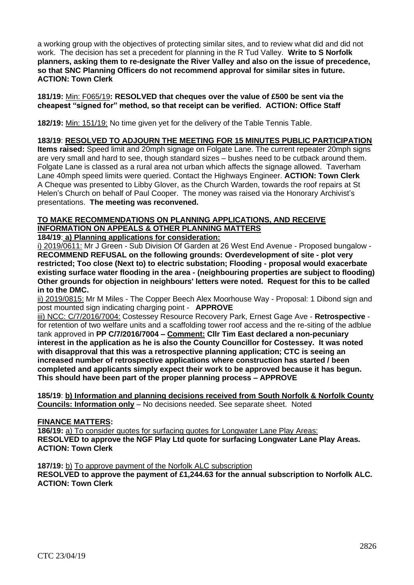a working group with the objectives of protecting similar sites, and to review what did and did not work. The decision has set a precedent for planning in the R Tud Valley. **Write to S Norfolk planners, asking them to re-designate the River Valley and also on the issue of precedence, so that SNC Planning Officers do not recommend approval for similar sites in future. ACTION: Town Clerk**

**181/19:** Min: F065/19**: RESOLVED that cheques over the value of £500 be sent via the cheapest "signed for" method, so that receipt can be verified. ACTION: Office Staff**

**182/19:** Min: 151/19: No time given yet for the delivery of the Table Tennis Table.

### **183/19**: **RESOLVED TO ADJOURN THE MEETING FOR 15 MINUTES PUBLIC PARTICIPATION**

**Items raised:** Speed limit and 20mph signage on Folgate Lane. The current repeater 20mph signs are very small and hard to see, though standard sizes – bushes need to be cutback around them. Folgate Lane is classed as a rural area not urban which affects the signage allowed. Taverham Lane 40mph speed limits were queried. Contact the Highways Engineer. **ACTION: Town Clerk**  A Cheque was presented to Libby Glover, as the Church Warden, towards the roof repairs at St Helen's Church on behalf of Paul Cooper. The money was raised via the Honorary Archivist's presentations. **The meeting was reconvened.** 

# **TO MAKE RECOMMENDATIONS ON PLANNING APPLICATIONS, AND RECEIVE INFORMATION ON APPEALS & OTHER PLANNING MATTERS**

**184/19**: **a) Planning applications for consideration:**

i) 2019/0611: Mr J Green - Sub Division Of Garden at 26 West End Avenue - Proposed bungalow - **RECOMMEND REFUSAL on the following grounds: Overdevelopment of site - plot very restricted; Too close (Next to) to electric substation; Flooding - proposal would exacerbate existing surface water flooding in the area - (neighbouring properties are subject to flooding) Other grounds for objection in neighbours' letters were noted. Request for this to be called in to the DMC.**

ii) 2019/0815: Mr M Miles - The Copper Beech Alex Moorhouse Way - Proposal: 1 Dibond sign and post mounted sign indicating charging point - **APPROVE**

iii) NCC: C/7/2016/7004: Costessey Resource Recovery Park, Ernest Gage Ave - **Retrospective**  for retention of two welfare units and a scaffolding tower roof access and the re-siting of the adblue tank approved in **PP C/7/2016/7004 – Comment: Cllr Tim East declared a non-pecuniary interest in the application as he is also the County Councillor for Costessey. It was noted with disapproval that this was a retrospective planning application; CTC is seeing an increased number of retrospective applications where construction has started / been completed and applicants simply expect their work to be approved because it has begun. This should have been part of the proper planning process – APPROVE**

**185/19**: **b) Information and planning decisions received from South Norfolk & Norfolk County Councils: Information only** – No decisions needed. See separate sheet. Noted

### **FINANCE MATTERS:**

**186/19:** a) To consider quotes for surfacing quotes for Longwater Lane Play Areas: **RESOLVED to approve the NGF Play Ltd quote for surfacing Longwater Lane Play Areas. ACTION: Town Clerk**

**187/19:** b) To approve payment of the Norfolk ALC subscription

**RESOLVED to approve the payment of £1,244.63 for the annual subscription to Norfolk ALC. ACTION: Town Clerk**